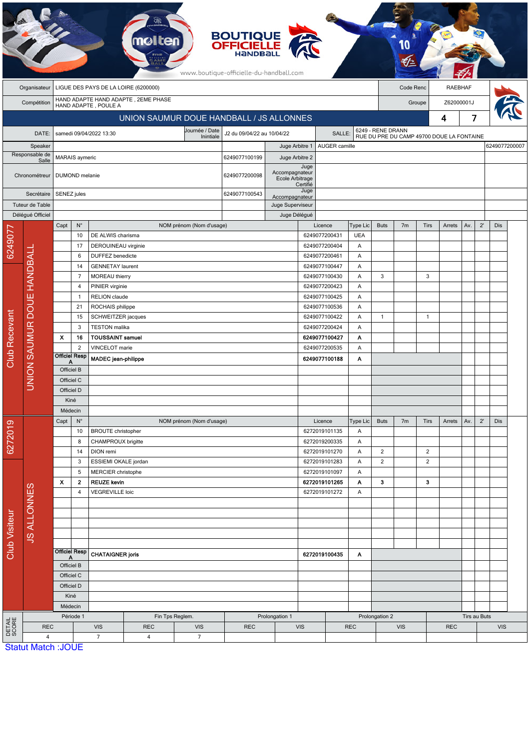|                           |                            |                                                     |                                              |                                 |                                                             |                                      | <b>BOUTIQUE</b><br><b>OFFICIELLE</b><br>HANDBALL<br>www.boutique-officielle-du-handball.com |                                          |                                |                    |                 |                                                                |                             |                      |              |     |              |     |               |
|---------------------------|----------------------------|-----------------------------------------------------|----------------------------------------------|---------------------------------|-------------------------------------------------------------|--------------------------------------|---------------------------------------------------------------------------------------------|------------------------------------------|--------------------------------|--------------------|-----------------|----------------------------------------------------------------|-----------------------------|----------------------|--------------|-----|--------------|-----|---------------|
|                           | Organisateur               | LIGUE DES PAYS DE LA LOIRE (6200000)                |                                              |                                 |                                                             |                                      |                                                                                             |                                          |                                |                    |                 |                                                                | Code Renc<br><b>RAEBHAF</b> |                      |              |     |              |     |               |
|                           | Compétition                |                                                     |                                              |                                 | HAND ADAPTE HAND ADAPTE, 2EME PHASE<br>HAND ADAPTE, POULE A |                                      |                                                                                             |                                          |                                |                    |                 |                                                                |                             | Z62000001J<br>Groupe |              |     |              |     |               |
|                           |                            |                                                     |                                              |                                 |                                                             |                                      |                                                                                             | UNION SAUMUR DOUE HANDBALL / JS ALLONNES |                                |                    |                 |                                                                |                             |                      | 4            | 7   |              |     |               |
|                           |                            |                                                     |                                              |                                 |                                                             |                                      |                                                                                             |                                          |                                |                    |                 |                                                                |                             |                      |              |     |              |     |               |
|                           | DATE:                      |                                                     |                                              | samedi 09/04/2022 13:30         |                                                             | J2 du 09/04/22 au 10/04/22<br>SALLE: |                                                                                             |                                          |                                |                    |                 | 6249 - RENE DRANN<br>RUE DU PRE DU CAMP 49700 DOUE LA FONTAINE |                             |                      |              |     |              |     |               |
| Speaker<br>Responsable de |                            |                                                     | MARAIS aymeric                               |                                 |                                                             |                                      | 6249077100199                                                                               | Juge Arbitre 1                           |                                | AUGER camille      |                 |                                                                |                             |                      |              |     |              |     | 6249077200007 |
| Salle                     |                            |                                                     |                                              |                                 |                                                             |                                      |                                                                                             | Juge Arbitre 2                           |                                | Juge               |                 |                                                                |                             |                      |              |     |              |     |               |
|                           | Chronométreur              |                                                     | 6249077200098<br>DUMOND melanie              |                                 |                                                             |                                      |                                                                                             | Accompagnateur<br>Ecole Arbitrage        |                                |                    |                 |                                                                |                             |                      |              |     |              |     |               |
|                           | Secrétaire                 |                                                     |                                              |                                 | 6249077100543                                               |                                      |                                                                                             | Certifié<br>Juge                         |                                |                    |                 |                                                                |                             |                      |              |     |              |     |               |
| Tuteur de Table           |                            |                                                     | SENEZ jules                                  |                                 |                                                             |                                      |                                                                                             | Accompagnateur<br>Juge Superviseur       |                                |                    |                 |                                                                |                             |                      |              |     |              |     |               |
|                           | Délégué Officiel           |                                                     |                                              |                                 |                                                             |                                      |                                                                                             |                                          | Juge Délégué                   |                    |                 |                                                                |                             |                      |              |     |              |     |               |
|                           |                            | Capt                                                | $\mathsf{N}^\circ$                           |                                 |                                                             | NOM prénom (Nom d'usage)             |                                                                                             |                                          |                                | Licence            | <b>Type Lic</b> | <b>Buts</b>                                                    | 7 <sub>m</sub>              | <b>Tirs</b>          | Arrets       | Av. | $2^{\prime}$ | Dis |               |
| 6249077                   |                            |                                                     | 10                                           | DE ALWIS charisma               |                                                             |                                      |                                                                                             |                                          |                                | 6249077200431      | <b>UEA</b>      |                                                                |                             |                      |              |     |              |     |               |
|                           |                            | 17<br>6<br>14                                       |                                              | DEROUINEAU virginie             |                                                             |                                      |                                                                                             |                                          |                                | 6249077200404      | Α               |                                                                |                             |                      |              |     |              |     |               |
|                           |                            |                                                     |                                              | <b>DUFFEZ</b> benedicte         |                                                             |                                      |                                                                                             |                                          |                                | 6249077200461      | Α               |                                                                |                             |                      |              |     |              |     |               |
|                           |                            |                                                     |                                              | <b>GENNETAY laurent</b>         |                                                             |                                      |                                                                                             |                                          |                                | 6249077100447<br>Α |                 |                                                                |                             |                      |              |     |              |     |               |
|                           |                            |                                                     | $\overline{7}$                               | MOREAU thierry                  |                                                             |                                      |                                                                                             |                                          |                                | 6249077100430      | Α               | 3                                                              |                             | 3                    |              |     |              |     |               |
|                           |                            |                                                     | $\overline{4}$                               | PINIER virginie                 |                                                             |                                      |                                                                                             |                                          |                                | 6249077200423      | A               |                                                                |                             |                      |              |     |              |     |               |
|                           | UNION SAUMUR DOUE HANDBALI |                                                     | $\mathbf{1}$<br>21                           | RELION claude                   |                                                             |                                      |                                                                                             | 6249077100425<br>Α<br>6249077100536<br>Α |                                |                    |                 |                                                                |                             |                      |              |     |              |     |               |
|                           |                            |                                                     | ROCHAIS philippe<br>SCHWEITZER jacques<br>15 |                                 |                                                             |                                      |                                                                                             |                                          | 6249077100422                  | A                  | $\mathbf{1}$    |                                                                | 1                           |                      |              |     |              |     |               |
|                           |                            | 3<br><b>TESTON</b> malika                           |                                              |                                 |                                                             |                                      |                                                                                             |                                          |                                | 6249077200424<br>Α |                 |                                                                |                             |                      |              |     |              |     |               |
|                           |                            | $\boldsymbol{\mathsf{x}}$                           | 16                                           | <b>TOUSSAINT samuel</b>         |                                                             |                                      |                                                                                             |                                          |                                | 6249077100427      | Α               |                                                                |                             |                      |              |     |              |     |               |
|                           |                            |                                                     | $\overline{2}$                               | VINCELOT marie                  |                                                             |                                      |                                                                                             |                                          |                                | 6249077200535      | Α               |                                                                |                             |                      |              |     |              |     |               |
| <b>Club Recevant</b>      |                            |                                                     | <b>Officiel Resp</b><br>Α                    | <b>MADEC</b> jean-philippe      |                                                             |                                      |                                                                                             |                                          | 6249077100188                  | Α                  |                 |                                                                |                             |                      |              |     |              |     |               |
|                           |                            |                                                     | Officiel B                                   |                                 |                                                             |                                      |                                                                                             |                                          |                                |                    |                 |                                                                |                             |                      |              |     |              |     |               |
|                           |                            | Officiel C                                          |                                              |                                 |                                                             |                                      |                                                                                             |                                          |                                |                    |                 |                                                                |                             |                      |              |     |              |     |               |
|                           |                            | Officiel D                                          |                                              |                                 |                                                             |                                      |                                                                                             |                                          |                                |                    |                 |                                                                |                             |                      |              |     |              |     |               |
|                           |                            | Kiné                                                |                                              |                                 |                                                             |                                      |                                                                                             |                                          |                                |                    |                 |                                                                |                             |                      |              |     |              |     |               |
|                           |                            | Médecin                                             |                                              |                                 |                                                             |                                      |                                                                                             |                                          |                                |                    |                 |                                                                |                             |                      |              |     |              |     |               |
|                           |                            | Capt                                                | $\mathsf{N}^\circ$                           |                                 |                                                             | NOM prénom (Nom d'usage)             |                                                                                             |                                          |                                | Licence            | Type Lic        | <b>Buts</b>                                                    | 7 <sub>m</sub>              | <b>Tirs</b>          | Arrets       | Av. | $2^{\prime}$ | Dis |               |
| 6272019                   |                            |                                                     | 10<br><b>BROUTE</b> christopher              |                                 |                                                             |                                      |                                                                                             |                                          |                                | 6272019101135      | Α<br>Α          |                                                                |                             |                      |              |     |              |     |               |
|                           |                            |                                                     | 8                                            | CHAMPROUX brigitte<br>DION remi |                                                             |                                      |                                                                                             |                                          | 6272019200335<br>6272019101270 |                    | $\overline{2}$  |                                                                | $\overline{2}$              |                      |              |     |              |     |               |
|                           |                            |                                                     | 14<br>3                                      | ESSIEMI OKALE jordan            |                                                             |                                      |                                                                                             |                                          |                                | 6272019101283      | Α<br>Α          | $\overline{2}$                                                 |                             | $\sqrt{2}$           |              |     |              |     |               |
|                           | <b>JS ALLONNES</b>         |                                                     | 5                                            | MERCIER christophe              |                                                             |                                      |                                                                                             |                                          |                                | 6272019101097      | A               |                                                                |                             |                      |              |     |              |     |               |
|                           |                            | $\pmb{\times}$                                      | $\mathbf{2}$                                 | <b>REUZE kevin</b>              |                                                             |                                      |                                                                                             |                                          |                                | 6272019101265      | Α               | 3                                                              |                             | 3                    |              |     |              |     |               |
|                           |                            |                                                     | 4<br><b>VEGREVILLE loic</b>                  |                                 | 6272019101272                                               |                                      |                                                                                             | Α                                        |                                |                    |                 |                                                                |                             |                      |              |     |              |     |               |
|                           |                            |                                                     |                                              |                                 |                                                             |                                      |                                                                                             |                                          |                                |                    |                 |                                                                |                             |                      |              |     |              |     |               |
|                           |                            |                                                     |                                              |                                 |                                                             |                                      |                                                                                             |                                          |                                |                    |                 |                                                                |                             |                      |              |     |              |     |               |
|                           |                            |                                                     |                                              |                                 |                                                             |                                      |                                                                                             |                                          |                                |                    |                 |                                                                |                             |                      |              |     |              |     |               |
| <b>Club Visiteur</b>      |                            |                                                     |                                              |                                 |                                                             |                                      |                                                                                             |                                          |                                |                    |                 |                                                                |                             |                      |              |     |              |     |               |
|                           |                            | <b>Officiel Resp</b>                                |                                              |                                 |                                                             |                                      |                                                                                             |                                          |                                |                    |                 |                                                                |                             |                      |              |     |              |     |               |
|                           |                            | A<br>Officiel B<br>Officiel C<br>Officiel D<br>Kiné |                                              | <b>CHATAIGNER joris</b>         |                                                             |                                      | 6272019100435<br>A                                                                          |                                          |                                |                    |                 |                                                                |                             |                      |              |     |              |     |               |
|                           |                            |                                                     |                                              |                                 |                                                             |                                      |                                                                                             |                                          |                                |                    |                 |                                                                |                             |                      |              |     |              |     |               |
|                           |                            |                                                     |                                              |                                 |                                                             |                                      |                                                                                             |                                          |                                |                    |                 |                                                                |                             |                      |              |     |              |     |               |
|                           |                            |                                                     |                                              |                                 |                                                             |                                      |                                                                                             |                                          |                                |                    |                 |                                                                |                             |                      |              |     |              |     |               |
|                           |                            |                                                     | Médecin                                      |                                 |                                                             |                                      |                                                                                             |                                          |                                |                    |                 |                                                                |                             |                      |              |     |              |     |               |
|                           |                            | Période 1                                           |                                              | Fin Tps Reglem.                 |                                                             |                                      |                                                                                             | Prolongation 1                           |                                |                    | Prolongation 2  |                                                                |                             |                      | Tirs au Buts |     |              |     |               |
| DETAIL<br>SCORE           | <b>REC</b>                 |                                                     |                                              | <b>VIS</b>                      | <b>REC</b>                                                  | <b>VIS</b>                           | <b>REC</b>                                                                                  |                                          | <b>VIS</b>                     |                    | <b>REC</b>      | <b>VIS</b>                                                     |                             | <b>REC</b>           |              |     | <b>VIS</b>   |     |               |
|                           | $\overline{\mathbf{4}}$    |                                                     |                                              | $\overline{7}$                  | 4                                                           | $\overline{7}$                       |                                                                                             |                                          |                                |                    |                 |                                                                |                             |                      |              |     |              |     |               |
|                           | <b>Statut Match: JOUE</b>  |                                                     |                                              |                                 |                                                             |                                      |                                                                                             |                                          |                                |                    |                 |                                                                |                             |                      |              |     |              |     |               |